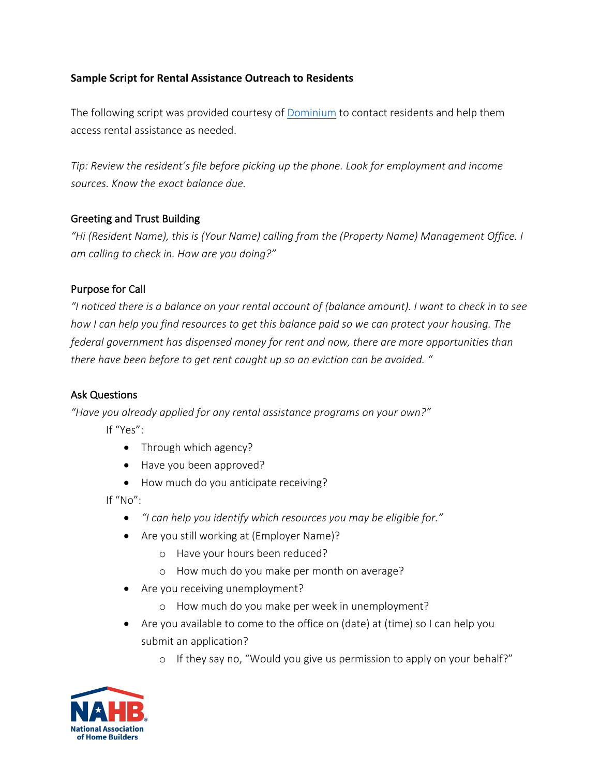## **Sample Script for Rental Assistance Outreach to Residents**

The following script was provided courtesy of Dominium to contact residents and help them access rental assistance as needed.

*Tip: Review the resident's file before picking up the phone. Look for employment and income sources. Know the exact balance due.* 

## Greeting and Trust Building

*"Hi (Resident Name), this is (Your Name) calling from the (Property Name) Management Office. I am calling to check in. How are you doing?"* 

## Purpose for Call

*"I noticed there is a balance on your rental account of (balance amount). I want to check in to see how I can help you find resources to get this balance paid so we can protect your housing. The federal government has dispensed money for rent and now, there are more opportunities than there have been before to get rent caught up so an eviction can be avoided. "*

#### Ask Questions

*"Have you already applied for any rental assistance programs on your own?"* 

If "Yes":

- Through which agency?
- Have you been approved?
- How much do you anticipate receiving?

If "No":

- *"I can help you identify which resources you may be eligible for."*
- Are you still working at (Employer Name)?
	- o Have your hours been reduced?
	- o How much do you make per month on average?
- Are you receiving unemployment?
	- o How much do you make per week in unemployment?
- Are you available to come to the office on (date) at (time) so I can help you submit an application?
	- o If they say no, "Would you give us permission to apply on your behalf?"